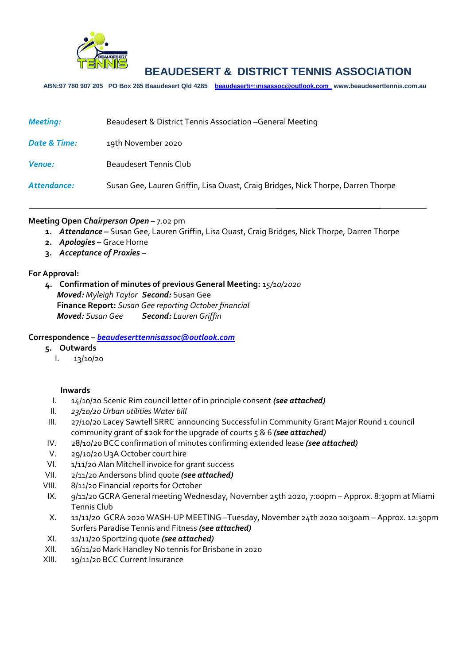

**ABN:97 780 907 205 PO Box 265 Beaudesert Qld 4285 [beaudeserttennisassoc@outlook.com](mailto:beaudeserttennisassoc@outlook.com) www.beaudeserttennis.com.au** *Agenda*

| <b>Meeting:</b> | Beaudesert & District Tennis Association - General Meeting                       |
|-----------------|----------------------------------------------------------------------------------|
| Date & Time:    | 19th November 2020                                                               |
| <b>Venue:</b>   | Beaudesert Tennis Club                                                           |
| Attendance:     | Susan Gee, Lauren Griffin, Lisa Quast, Craig Bridges, Nick Thorpe, Darren Thorpe |

#### **Meeting Open** *Chairperson Open* – 7.02 pm

- **1.** *Attendance –* Susan Gee, Lauren Griffin, Lisa Quast, Craig Bridges, Nick Thorpe, Darren Thorpe
- **2.** *Apologies –* Grace Horne
- **3.** *Acceptance of Proxies* –

### **For Approval:**

**4. Confirmation of minutes of previous General Meeting:** *15/10/2020 Moved: Myleigh Taylor Second:* Susan Gee **Finance Report:** *Susan Gee reporting October financial Moved: Susan Gee Second: Lauren Griffin*

#### **Correspondence –** *[beaudeserttennisassoc@outlook.com](mailto:beaudeserttennisassoc@outlook.com)*

- **5. Outwards**
	- I. 13/10/20

#### **Inwards**

- I. 14/10/20 Scenic Rim council letter of in principle consent *(see attached)*
- II. *23/10/20 Urban utilities Water bill*
- III. 27/10/20 Lacey Sawtell SRRC announcing Successful in Community Grant Major Round 1 council community grant of \$20k for the upgrade of courts 5 & 6 *(see attached)*
- IV. 28/10/20 BCC confirmation of minutes confirming extended lease *(see attached)*
- V. 29/10/20 U3A October court hire
- VI. 1/11/20 Alan Mitchell invoice for grant success
- VII. 2/11/20 Andersons blind quote *(see attached)*
- VIII. 8/11/20 Financial reports for October
- IX. 9/11/20 GCRA General meeting Wednesday, November 25th 2020, 7:00pm Approx. 8:30pm at Miami Tennis Club
- X. 11/11/20 GCRA 2020 WASH-UP MEETING –Tuesday, November 24th 2020 10:30am Approx. 12:30pm Surfers Paradise Tennis and Fitness *(see attached)*
- XI. 11/11/20 Sportzing quote *(see attached)*
- XII. 16/11/20 Mark Handley No tennis for Brisbane in 2020
- XIII. 19/11/20 BCC Current Insurance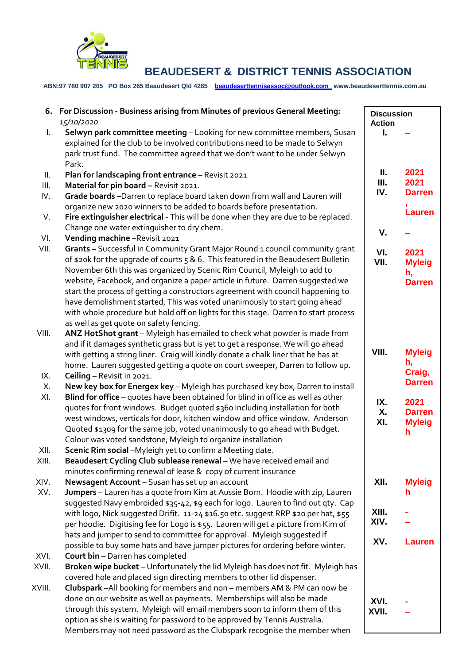

**ABN:97 780 907 205 PO Box 265 Beaudesert Qld 4285 [beaudeserttennisassoc@outlook.com](mailto:beaudeserttennisassoc@outlook.com) www.beaudeserttennis.com.au**

|               | 6. For Discussion - Business arising from Minutes of previous General Meeting:<br>15/10/2020                                                                                                                                                                                                                                                                                                                                                                                                                                                                                                                                        |                  | <b>Discussion</b><br><b>Action</b>           |  |
|---------------|-------------------------------------------------------------------------------------------------------------------------------------------------------------------------------------------------------------------------------------------------------------------------------------------------------------------------------------------------------------------------------------------------------------------------------------------------------------------------------------------------------------------------------------------------------------------------------------------------------------------------------------|------------------|----------------------------------------------|--|
| L.            | Selwyn park committee meeting - Looking for new committee members, Susan<br>explained for the club to be involved contributions need to be made to Selwyn                                                                                                                                                                                                                                                                                                                                                                                                                                                                           | L                |                                              |  |
|               | park trust fund. The committee agreed that we don't want to be under Selwyn<br>Park.                                                                                                                                                                                                                                                                                                                                                                                                                                                                                                                                                |                  |                                              |  |
| Ш.<br>Ш.      | Plan for landscaping front entrance - Revisit 2021<br>Material for pin board - Revisit 2021.                                                                                                                                                                                                                                                                                                                                                                                                                                                                                                                                        | Ш.<br>Ш.         | 2021<br>2021                                 |  |
| IV.           | Grade boards-Darren to replace board taken down from wall and Lauren will                                                                                                                                                                                                                                                                                                                                                                                                                                                                                                                                                           | IV.              | <b>Darren</b>                                |  |
| V.            | organize new 2020 winners to be added to boards before presentation.<br>Fire extinguisher electrical - This will be done when they are due to be replaced.                                                                                                                                                                                                                                                                                                                                                                                                                                                                          |                  | <b>Lauren</b>                                |  |
|               | Change one water extinguisher to dry chem.                                                                                                                                                                                                                                                                                                                                                                                                                                                                                                                                                                                          | V.               |                                              |  |
| VI.           | Vending machine - Revisit 2021                                                                                                                                                                                                                                                                                                                                                                                                                                                                                                                                                                                                      |                  |                                              |  |
| VII.          | Grants - Successful in Community Grant Major Round 1 council community grant<br>of \$20k for the upgrade of courts 5 & 6. This featured in the Beaudesert Bulletin<br>November 6th this was organized by Scenic Rim Council, Myleigh to add to<br>website, Facebook, and organize a paper article in future. Darren suggested we<br>start the process of getting a constructors agreement with council happening to<br>have demolishment started, This was voted unanimously to start going ahead<br>with whole procedure but hold off on lights for this stage. Darren to start process<br>as well as get quote on safety fencing. | VI.<br>VII.      | 2021<br><b>Myleig</b><br>h,<br><b>Darren</b> |  |
| VIII.         | ANZ HotShot grant - Myleigh has emailed to check what powder is made from<br>and if it damages synthetic grass but is yet to get a response. We will go ahead<br>with getting a string liner. Craig will kindly donate a chalk liner that he has at<br>home. Lauren suggested getting a quote on court sweeper, Darren to follow up.                                                                                                                                                                                                                                                                                                | VIII.            | <b>Myleig</b><br>h,                          |  |
| IX.           | Ceiling - Revisit in 2021.                                                                                                                                                                                                                                                                                                                                                                                                                                                                                                                                                                                                          |                  | Craig,<br><b>Darren</b>                      |  |
| Х.<br>XI.     | New key box for Energex key - Myleigh has purchased key box, Darren to install<br>Blind for office - quotes have been obtained for blind in office as well as other<br>quotes for front windows. Budget quoted \$360 including installation for both<br>west windows, verticals for door, kitchen window and office window. Anderson<br>Quoted \$1309 for the same job, voted unanimously to go ahead with Budget.<br>Colour was voted sandstone, Myleigh to organize installation                                                                                                                                                  | IX.<br>Χ.<br>XI. | 2021<br><b>Darren</b><br><b>Myleig</b><br>h. |  |
| XII.          | Scenic Rim social -Myleigh yet to confirm a Meeting date.                                                                                                                                                                                                                                                                                                                                                                                                                                                                                                                                                                           |                  |                                              |  |
| XIII.         | Beaudesert Cycling Club sublease renewal - We have received email and<br>minutes confirming renewal of lease & copy of current insurance                                                                                                                                                                                                                                                                                                                                                                                                                                                                                            |                  |                                              |  |
| XIV.<br>XV.   | Newsagent Account - Susan has set up an account<br>Jumpers - Lauren has a quote from Kim at Aussie Born. Hoodie with zip, Lauren                                                                                                                                                                                                                                                                                                                                                                                                                                                                                                    | XII.             | <b>Myleig</b><br>h                           |  |
|               | suggested Navy embroided \$35-42, \$9 each for logo. Lauren to find out qty. Cap<br>with logo, Nick suggested Drifit. 11-24 \$16.50 etc. suggest RRP \$20 per hat, \$55<br>per hoodie. Digitising fee for Logo is \$55. Lauren will get a picture from Kim of                                                                                                                                                                                                                                                                                                                                                                       | XIII.<br>XIV.    |                                              |  |
|               | hats and jumper to send to committee for approval. Myleigh suggested if<br>possible to buy some hats and have jumper pictures for ordering before winter.                                                                                                                                                                                                                                                                                                                                                                                                                                                                           | XV.              | <b>Lauren</b>                                |  |
| XVI.<br>XVII. | Court bin - Darren has completed<br>Broken wipe bucket - Unfortunately the lid Myleigh has does not fit. Myleigh has<br>covered hole and placed sign directing members to other lid dispenser.                                                                                                                                                                                                                                                                                                                                                                                                                                      |                  |                                              |  |
| XVIII.        | Clubspark - All booking for members and non - members AM & PM can now be<br>done on our website as well as payments. Memberships will also be made<br>through this system. Myleigh will email members soon to inform them of this<br>option as she is waiting for password to be approved by Tennis Australia.<br>Members may not need password as the Clubspark recognise the member when                                                                                                                                                                                                                                          | XVI.<br>XVII.    |                                              |  |

Members may not need password as the Clubspark recognise the member when

 $\lfloor$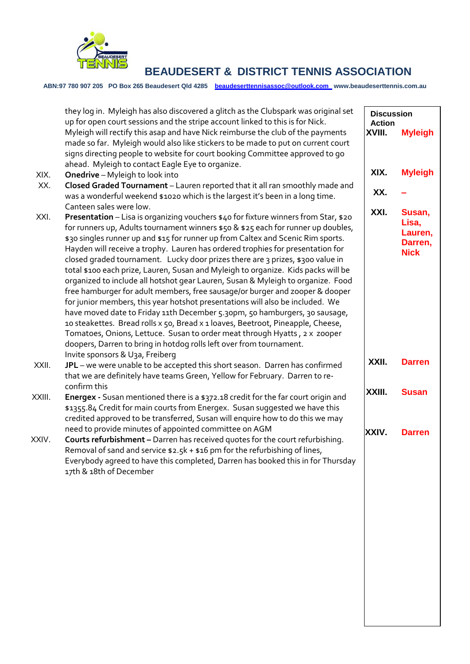

**ABN:97 780 907 205 PO Box 265 Beaudesert Qld 4285 [beaudeserttennisassoc@outlook.com](mailto:beaudeserttennisassoc@outlook.com) www.beaudeserttennis.com.au**

|        | they log in. Myleigh has also discovered a glitch as the Clubspark was original set<br>up for open court sessions and the stripe account linked to this is for Nick.                                                                                                                                                                                                                                                                                                                                                                                                                                                                                                                                                                                                                                                                                                                                                                                                                                                                                                                           | <b>Discussion</b><br><b>Action</b> |                                                      |
|--------|------------------------------------------------------------------------------------------------------------------------------------------------------------------------------------------------------------------------------------------------------------------------------------------------------------------------------------------------------------------------------------------------------------------------------------------------------------------------------------------------------------------------------------------------------------------------------------------------------------------------------------------------------------------------------------------------------------------------------------------------------------------------------------------------------------------------------------------------------------------------------------------------------------------------------------------------------------------------------------------------------------------------------------------------------------------------------------------------|------------------------------------|------------------------------------------------------|
|        | Myleigh will rectify this asap and have Nick reimburse the club of the payments<br>made so far. Myleigh would also like stickers to be made to put on current court<br>signs directing people to website for court booking Committee approved to go<br>ahead. Myleigh to contact Eagle Eye to organize.                                                                                                                                                                                                                                                                                                                                                                                                                                                                                                                                                                                                                                                                                                                                                                                        | XVIII.                             | <b>Myleigh</b>                                       |
| XIX.   | Onedrive - Myleigh to look into                                                                                                                                                                                                                                                                                                                                                                                                                                                                                                                                                                                                                                                                                                                                                                                                                                                                                                                                                                                                                                                                | XIX.                               | <b>Myleigh</b>                                       |
| XX.    | Closed Graded Tournament - Lauren reported that it all ran smoothly made and                                                                                                                                                                                                                                                                                                                                                                                                                                                                                                                                                                                                                                                                                                                                                                                                                                                                                                                                                                                                                   |                                    |                                                      |
|        | was a wonderful weekend \$1020 which is the largest it's been in a long time.<br>Canteen sales were low.                                                                                                                                                                                                                                                                                                                                                                                                                                                                                                                                                                                                                                                                                                                                                                                                                                                                                                                                                                                       | XX.                                |                                                      |
| XXI.   | Presentation - Lisa is organizing vouchers \$40 for fixture winners from Star, \$20<br>for runners up, Adults tournament winners \$50 & \$25 each for runner up doubles,<br>\$30 singles runner up and \$15 for runner up from Caltex and Scenic Rim sports.<br>Hayden will receive a trophy. Lauren has ordered trophies for presentation for<br>closed graded tournament. Lucky door prizes there are 3 prizes, \$300 value in<br>total \$100 each prize, Lauren, Susan and Myleigh to organize. Kids packs will be<br>organized to include all hotshot gear Lauren, Susan & Myleigh to organize. Food<br>free hamburger for adult members, free sausage/or burger and zooper & dooper<br>for junior members, this year hotshot presentations will also be included. We<br>have moved date to Friday 11th December 5.30pm, 50 hamburgers, 30 sausage,<br>10 steakettes. Bread rolls x 50, Bread x 1 loaves, Beetroot, Pineapple, Cheese,<br>Tomatoes, Onions, Lettuce. Susan to order meat through Hyatts, 2 x zooper<br>doopers, Darren to bring in hotdog rolls left over from tournament. | XXI.                               | Susan,<br>Lisa,<br>Lauren,<br>Darren,<br><b>Nick</b> |
| XXII.  | Invite sponsors & U3a, Freiberg<br>JPL - we were unable to be accepted this short season. Darren has confirmed<br>that we are definitely have teams Green, Yellow for February. Darren to re-                                                                                                                                                                                                                                                                                                                                                                                                                                                                                                                                                                                                                                                                                                                                                                                                                                                                                                  | XXII.                              | <b>Darren</b>                                        |
| XXIII. | confirm this<br>Energex - Susan mentioned there is a \$372.18 credit for the far court origin and<br>\$1355.84 Credit for main courts from Energex. Susan suggested we have this<br>credited approved to be transferred, Susan will enquire how to do this we may                                                                                                                                                                                                                                                                                                                                                                                                                                                                                                                                                                                                                                                                                                                                                                                                                              | XXIII.                             | <b>Susan</b>                                         |
| XXIV.  | need to provide minutes of appointed committee on AGM<br>Courts refurbishment - Darren has received quotes for the court refurbishing.<br>Removal of sand and service $$2.5k + $16$ pm for the refurbishing of lines,<br>Everybody agreed to have this completed, Darren has booked this in for Thursday<br>17th & 18th of December                                                                                                                                                                                                                                                                                                                                                                                                                                                                                                                                                                                                                                                                                                                                                            | XXIV.                              | <b>Darren</b>                                        |
|        |                                                                                                                                                                                                                                                                                                                                                                                                                                                                                                                                                                                                                                                                                                                                                                                                                                                                                                                                                                                                                                                                                                |                                    |                                                      |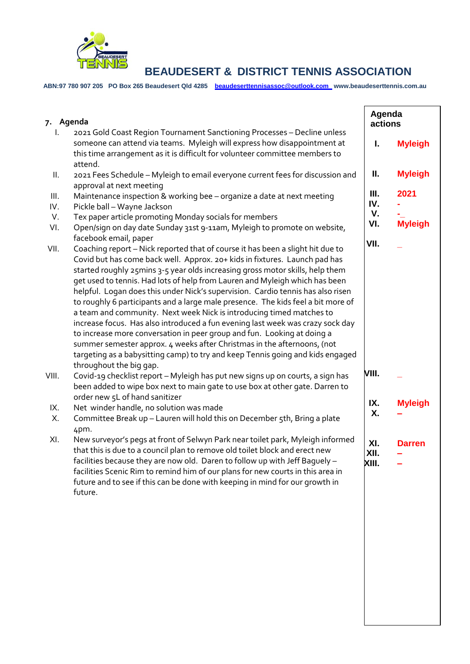

**ABN:97 780 907 205 PO Box 265 Beaudesert Qld 4285 [beaudeserttennisassoc@outlook.com](mailto:beaudeserttennisassoc@outlook.com) www.beaudeserttennis.com.au**

| 7. Agenda   |                                                                                                                                                                                                                                                                                                                                                                                                                                                                                                                                                                                                                                                                                                                                                                                                                                                                                                                                                           |                      | Agenda<br>actions |  |
|-------------|-----------------------------------------------------------------------------------------------------------------------------------------------------------------------------------------------------------------------------------------------------------------------------------------------------------------------------------------------------------------------------------------------------------------------------------------------------------------------------------------------------------------------------------------------------------------------------------------------------------------------------------------------------------------------------------------------------------------------------------------------------------------------------------------------------------------------------------------------------------------------------------------------------------------------------------------------------------|----------------------|-------------------|--|
| I.          | 2021 Gold Coast Region Tournament Sanctioning Processes - Decline unless<br>someone can attend via teams. Myleigh will express how disappointment at<br>this time arrangement as it is difficult for volunteer committee members to<br>attend.                                                                                                                                                                                                                                                                                                                                                                                                                                                                                                                                                                                                                                                                                                            | I.                   | <b>Myleigh</b>    |  |
| Ш.          | 2021 Fees Schedule - Myleigh to email everyone current fees for discussion and                                                                                                                                                                                                                                                                                                                                                                                                                                                                                                                                                                                                                                                                                                                                                                                                                                                                            | Ш.                   | <b>Myleigh</b>    |  |
| III.<br>IV. | approval at next meeting<br>Maintenance inspection & working bee - organize a date at next meeting<br>Pickle ball - Wayne Jackson                                                                                                                                                                                                                                                                                                                                                                                                                                                                                                                                                                                                                                                                                                                                                                                                                         | Ш.<br>IV.            | 2021              |  |
| V.<br>VI.   | Tex paper article promoting Monday socials for members<br>Open/sign on day date Sunday 31st 9-11am, Myleigh to promote on website,                                                                                                                                                                                                                                                                                                                                                                                                                                                                                                                                                                                                                                                                                                                                                                                                                        | V.<br>VI.            | <b>Myleigh</b>    |  |
| VII.        | facebook email, paper<br>Coaching report - Nick reported that of course it has been a slight hit due to<br>Covid but has come back well. Approx. 20+ kids in fixtures. Launch pad has<br>started roughly 25mins 3-5 year olds increasing gross motor skills, help them<br>get used to tennis. Had lots of help from Lauren and Myleigh which has been<br>helpful. Logan does this under Nick's supervision. Cardio tennis has also risen<br>to roughly 6 participants and a large male presence. The kids feel a bit more of<br>a team and community. Next week Nick is introducing timed matches to<br>increase focus. Has also introduced a fun evening last week was crazy sock day<br>to increase more conversation in peer group and fun. Looking at doing a<br>summer semester approx. 4 weeks after Christmas in the afternoons, (not<br>targeting as a babysitting camp) to try and keep Tennis going and kids engaged<br>throughout the big gap. | VII.                 |                   |  |
| VIII.       | Covid-19 checklist report - Myleigh has put new signs up on courts, a sign has<br>been added to wipe box next to main gate to use box at other gate. Darren to                                                                                                                                                                                                                                                                                                                                                                                                                                                                                                                                                                                                                                                                                                                                                                                            | VIII.                |                   |  |
| IX.<br>Х.   | order new 5L of hand sanitizer<br>Net winder handle, no solution was made<br>Committee Break up - Lauren will hold this on December 5th, Bring a plate<br>4pm.                                                                                                                                                                                                                                                                                                                                                                                                                                                                                                                                                                                                                                                                                                                                                                                            | IX.<br>Χ.            | <b>Myleigh</b>    |  |
| XI.         | New surveyor's pegs at front of Selwyn Park near toilet park, Myleigh informed<br>that this is due to a council plan to remove old toilet block and erect new<br>facilities because they are now old. Daren to follow up with Jeff Baguely –<br>facilities Scenic Rim to remind him of our plans for new courts in this area in<br>future and to see if this can be done with keeping in mind for our growth in<br>future.                                                                                                                                                                                                                                                                                                                                                                                                                                                                                                                                | XI.<br>XII.<br>XIII. | <b>Darren</b>     |  |
|             |                                                                                                                                                                                                                                                                                                                                                                                                                                                                                                                                                                                                                                                                                                                                                                                                                                                                                                                                                           |                      |                   |  |
|             |                                                                                                                                                                                                                                                                                                                                                                                                                                                                                                                                                                                                                                                                                                                                                                                                                                                                                                                                                           |                      |                   |  |
|             |                                                                                                                                                                                                                                                                                                                                                                                                                                                                                                                                                                                                                                                                                                                                                                                                                                                                                                                                                           |                      |                   |  |
|             |                                                                                                                                                                                                                                                                                                                                                                                                                                                                                                                                                                                                                                                                                                                                                                                                                                                                                                                                                           |                      |                   |  |